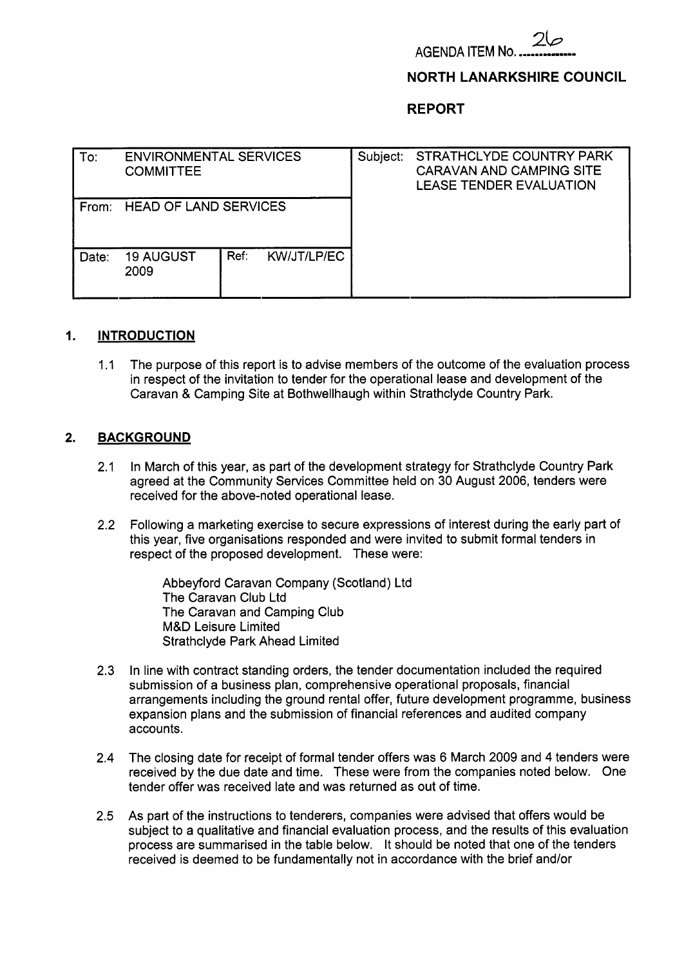

### **NORTH LANARKSHIRE COUNCIL**

**REPORT** 

| To:   | <b>ENVIRONMENTAL SERVICES</b><br><b>COMMITTEE</b> |      |                    | Subject: | STRATHCLYDE COUNTRY PARK<br><b>CARAVAN AND CAMPING SITE</b><br><b>LEASE TENDER EVALUATION</b> |
|-------|---------------------------------------------------|------|--------------------|----------|-----------------------------------------------------------------------------------------------|
| From: | <b>HEAD OF LAND SERVICES</b>                      |      |                    |          |                                                                                               |
| Date: | <b>19 AUGUST</b><br>2009                          | Ref. | <b>KW/JT/LP/EC</b> |          |                                                                                               |

### **I. INTRODUCTION**

1 .I The purpose of this report is to advise members of the outcome of the evaluation process in respect of the invitation to tender for the operational lease and development of the Caravan & Camping Site at Bothwellhaugh within Strathclyde Country Park.

### **2. BACKGROUND**

- 2.1 In March of this year, as part of the development strategy for Strathclyde Country Park agreed at the Community Services Committee held on 30 August 2006, tenders were received for the above-noted operational lease.
- 2.2 Following a marketing exercise to secure expressions of interest during the early part of this year, five organisations responded and were invited to submit formal tenders in respect of the proposed development. These were:

Abbeyford Caravan Company (Scotland) Ltd The Caravan Club Ltd The Caravan and Camping Club M&D Leisure Limited Strathclyde Park Ahead Limited

- **2.3**  In line with contract standing orders, the tender documentation included the required submission of a business plan, comprehensive operational proposals, financial arrangements including the ground rental offer, future development programme, business expansion plans and the submission of financial references and audited company accounts.
- 2.4 The closing date for receipt of formal tender offers was 6 March 2009 and 4 tenders were received by the due date and time. These were from the companies noted below. One tender offer was received late and was returned as out of time.
- 2.5 As part of the instructions to tenderers, companies were advised that offers would be subject to a qualitative and financial evaluation process, and the results of this evaluation process are summarised in the table below. It should be noted that one of the tenders received is deemed to be fundamentally not in accordance with the brief and/or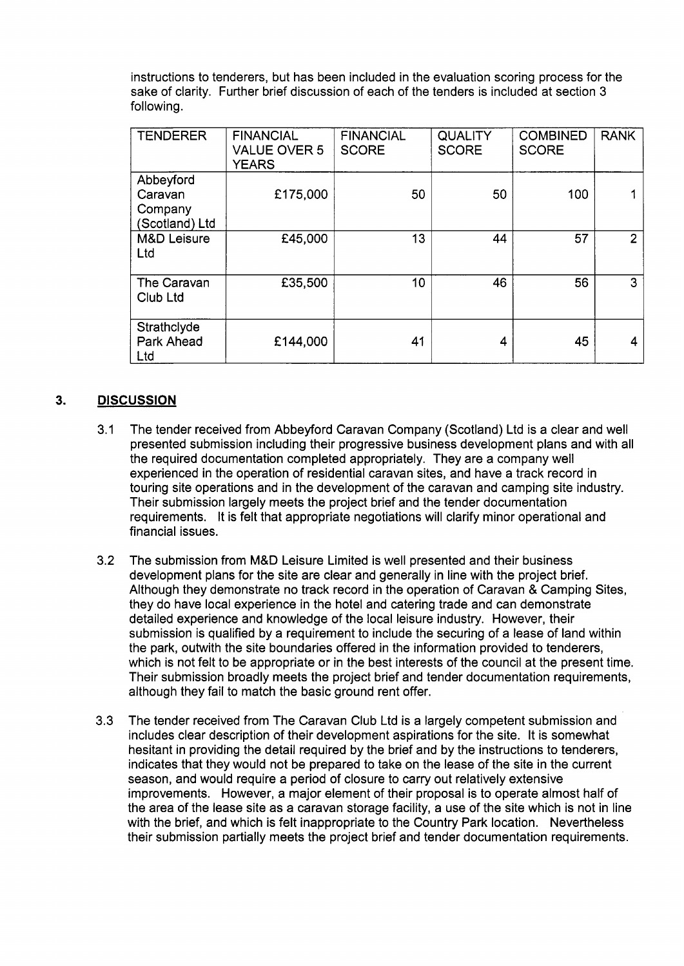instructions to tenderers, but has been included in the evaluation scoring process for the sake of clarity. Further brief discussion of each of the tenders is included at section 3 following.

| <b>TENDERER</b>                                   | <b>FINANCIAL</b><br><b>VALUE OVER 5</b><br><b>YEARS</b> | <b>FINANCIAL</b><br><b>SCORE</b> | <b>QUALITY</b><br><b>SCORE</b> | <b>COMBINED</b><br><b>SCORE</b> | <b>RANK</b>    |
|---------------------------------------------------|---------------------------------------------------------|----------------------------------|--------------------------------|---------------------------------|----------------|
| Abbeyford<br>Caravan<br>Company<br>(Scotland) Ltd | £175,000                                                | 50                               | 50                             | 100                             |                |
| <b>M&amp;D Leisure</b><br>Ltd                     | £45,000                                                 | 13                               | 44                             | 57                              | $\overline{2}$ |
| The Caravan<br>Club Ltd                           | £35,500                                                 | 10                               | 46                             | 56                              | 3              |
| Strathclyde<br>Park Ahead<br>Ltd                  | £144,000                                                | 41                               | 4                              | 45                              | 4              |

#### **3. DISCUSSION**

- **3.1** The tender received from Abbeyford Caravan Company (Scotland) Ltd is a clear and well presented submission including their progressive business development plans and with all the required documentation completed appropriately. They are a company well experienced in the operation of residential caravan sites, and have a track record in touring site operations and in the development of the caravan and camping site industry. Their submission largely meets the project brief and the tender documentation requirements. It is felt that appropriate negotiations will clarify minor operational and financial issues.
- **3.2**  The submission from M&D Leisure Limited is well presented and their business development plans for the site are clear and generally in line with the project brief. Although they demonstrate no track record in the operation of Caravan & Camping Sites, they do have local experience in the hotel and catering trade and can demonstrate detailed experience and knowledge of the local leisure industry. However, their submission is qualified by a requirement to include the securing of a lease of land within the park, outwith the site boundaries offered in the information provided to tenderers, which is not felt to be appropriate or in the best interests of the council at the present time. Their submission broadly meets the project brief and tender documentation requirements, although they fail to match the basic ground rent offer.
- **3.3**  The tender received from The Caravan Club Ltd is a largely competent submission and includes clear description of their development aspirations for the site. It is somewhat hesitant in providing the detail required by the brief and by the instructions to tenderers, indicates that they would not be prepared to take on the lease of the site in the current season, and would require a period of closure to carry out relatively extensive improvements. However, a major element of their proposal is to operate almost half of the area of the lease site as a caravan storage facility, a use of the site which is not in line with the brief, and which is felt inappropriate to the Country Park location. Nevertheless their submission partially meets the project brief and tender documentation requirements.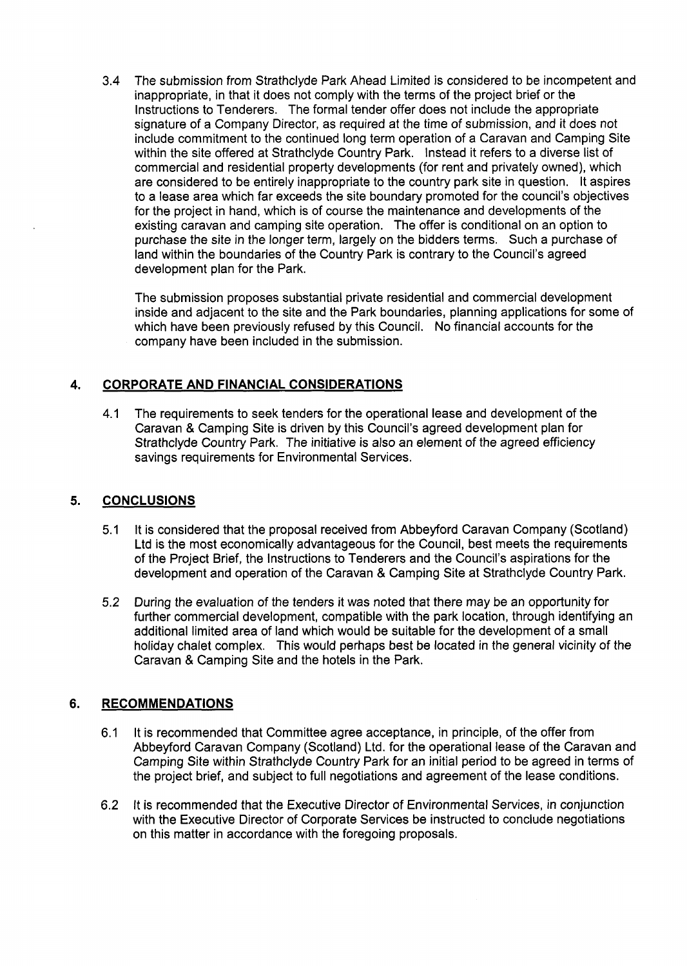3.4 The submission from Strathclyde Park Ahead Limited is considered to be incompetent and inappropriate, in that it does not comply with the terms of the project brief or the Instructions to Tenderers. The formal tender offer does not include the appropriate signature of a Company Director, as required at the time of submission, and it does not include commitment to the continued long term operation of a Caravan and Camping Site within the site offered at Strathclyde Country Park. Instead it refers to a diverse list of commercial and residential property developments (for rent and privately owned), which are considered to be entirely inappropriate to the country park site in question. It aspires to a lease area which far exceeds the site boundary promoted for the council's objectives for the project in hand, which is of course the maintenance and developments of the existing caravan and camping site operation. The offer is conditional on an option to purchase the site in the longer term, largely on the bidders terms. Such a purchase of land within the boundaries of the Country Park is contrary to the Council's agreed development plan for the Park.

The submission proposes substantial private residential and commercial development inside and adjacent to the site and the Park boundaries, planning applications for some of which have been previously refused by this Council. No financial accounts for the company have been included in the submission.

# **4. CORPORATE AND FINANCIAL CONSIDERATIONS**

4.1 The requirements to seek tenders for the operational lease and development of the Caravan & Camping Site is driven by this Council's agreed development plan for Strathclyde Country Park. The initiative is also an element of the agreed efficiency savings requirements for Environmental Services.

# **5. CONCLUSIONS**

- 5.1 It is considered that the proposal received from Abbeyford Caravan Company (Scotland) Ltd is the most economically advantageous for the Council, best meets the requirements of the Project Brief, the Instructions to Tenderers and the Council's aspirations for the development and operation of the Caravan & Camping Site at Strathclyde Country Park.
- 5.2 During the evaluation of the tenders it was noted that there may be an opportunity for further commercial development, compatible with the park location, through identifying an additional limited area of land which would be suitable for the development of a small holiday chalet complex. This would perhaps best be located in the general vicinity of the Caravan & Camping Site and the hotels in the Park.

# **6. RECOMMENDATIONS**

- 6.1 It is recommended that Committee agree acceptance, in principle, of the offer from Abbeyford Caravan Company (Scotland) Ltd. for the operational lease of the Caravan and Camping Site within Strathclyde Country Park for an initial period to be agreed in terms of the project brief, and subject to full negotiations and agreement of the lease conditions.
- 6.2 It is recommended that the Executive Director of Environmental Services, in conjunction with the Executive Director of Corporate Services be instructed to conclude negotiations on this matter in accordance with the foregoing proposals.